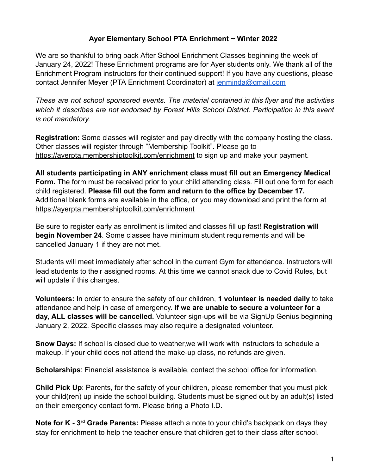#### **Ayer Elementary School PTA Enrichment ~ Winter 2022**

We are so thankful to bring back After School Enrichment Classes beginning the week of January 24, 2022! These Enrichment programs are for Ayer students only. We thank all of the Enrichment Program instructors for their continued support! If you have any questions, please contact Jennifer Meyer (PTA Enrichment Coordinator) at jenminda@gmail.com

*These are not school sponsored events. The material contained in this flyer and the activities which it describes are not endorsed by Forest Hills School District. Participation in this event is not mandatory.*

**Registration:** Some classes will register and pay directly with the company hosting the class. Other classes will register through "Membership Toolkit". Please go to https://ayerpta.membershiptoolkit.com/enrichment to sign up and make your payment.

**All students participating in ANY enrichment class must fill out an Emergency Medical Form.** The form must be received prior to your child attending class. Fill out one form for each child registered. **Please fill out the form and return to the office by December 17.** Additional blank forms are available in the office, or you may download and print the form at https://ayerpta.membershiptoolkit.com/enrichment

Be sure to register early as enrollment is limited and classes fill up fast! **Registration will begin November 24**. Some classes have minimum student requirements and will be cancelled January 1 if they are not met.

Students will meet immediately after school in the current Gym for attendance. Instructors will lead students to their assigned rooms. At this time we cannot snack due to Covid Rules, but will update if this changes.

**Volunteers:** In order to ensure the safety of our children, **1 volunteer is needed daily** to take attendance and help in case of emergency. **If we are unable to secure a volunteer for a day, ALL classes will be cancelled.** Volunteer sign-ups will be via SignUp Genius beginning January 2, 2022. Specific classes may also require a designated volunteer.

**Snow Days:** If school is closed due to weather,we will work with instructors to schedule a makeup. If your child does not attend the make-up class, no refunds are given.

**Scholarships**: Financial assistance is available, contact the school office for information.

**Child Pick Up**: Parents, for the safety of your children, please remember that you must pick your child(ren) up inside the school building. Students must be signed out by an adult(s) listed on their emergency contact form. Please bring a Photo I.D.

**Note for K - 3<sup>rd</sup> Grade Parents:** Please attach a note to your child's backpack on days they stay for enrichment to help the teacher ensure that children get to their class after school.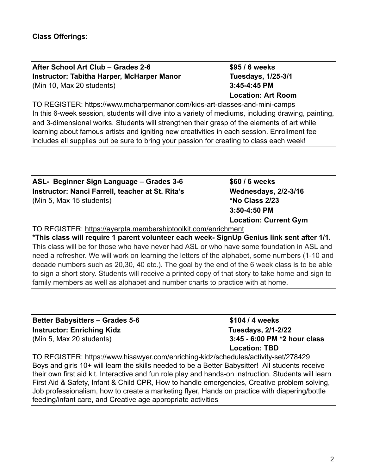**After School Art Club** – **Grades 2-6 \$95 / 6 weeks Instructor: Tabitha Harper, McHarper Manor Tuesdays, 1/25-3/1** (Min 10, Max 20 students) **3:45-4:45 PM**

**Location: Art Room**

TO REGISTER: https://www.mcharpermanor.com/kids-art-classes-and-mini-camps In this 6-week session, students will dive into a variety of mediums, including drawing, painting, and 3-dimensional works. Students will strengthen their grasp of the elements of art while learning about famous artists and igniting new creativities in each session. Enrollment fee includes all supplies but be sure to bring your passion for creating to class each week!

| ASL- Beginner Sign Language – Grades 3-6                                                       | \$60 / 6 weeks               |  |
|------------------------------------------------------------------------------------------------|------------------------------|--|
| Instructor: Nanci Farrell, teacher at St. Rita's                                               | Wednesdays, 2/2-3/16         |  |
| (Min 5, Max 15 students)                                                                       | *No Class 2/23               |  |
|                                                                                                | 3:50-4:50 PM                 |  |
|                                                                                                | <b>Location: Current Gym</b> |  |
| TO REGISTER: https://ayerpta.membershiptoolkit.com/enrichment                                  |                              |  |
| †*This class will require 1 parent volunteer each week- SignUp Genius link sent after 1/1.     |                              |  |
| This class will be for those who have never had ASL or who have some foundation in ASL and     |                              |  |
| need a refresher. We will work on learning the letters of the alphabet, some numbers (1-10 and |                              |  |

decade numbers such as 20,30, 40 etc.). The goal by the end of the 6 week class is to be able to sign a short story. Students will receive a printed copy of that story to take home and sign to family members as well as alphabet and number charts to practice with at home.

| <b>Better Babysitters - Grades 5-6</b> |
|----------------------------------------|
| <b>Instructor: Enriching Kidz</b>      |
| (Min 5, Max 20 students)               |

**Better Babysitters – Grades 5-6 \$104 / 4 weeks Instructor: Enriching Kidz Tuesdays, 2/1-2/22** (Min 5, Max 20 students) **3:45 - 6:00 PM \*2 hour class Location: TBD**

TO REGISTER: https://www.hisawyer.com/enriching-kidz/schedules/activity-set/278429 Boys and girls 10+ will learn the skills needed to be a Better Babysitter! All students receive their own first aid kit. Interactive and fun role play and hands-on instruction. Students will learn First Aid & Safety, Infant & Child CPR, How to handle emergencies, Creative problem solving, Job professionalism, how to create a marketing flyer, Hands on practice with diapering/bottle feeding/infant care, and Creative age appropriate activities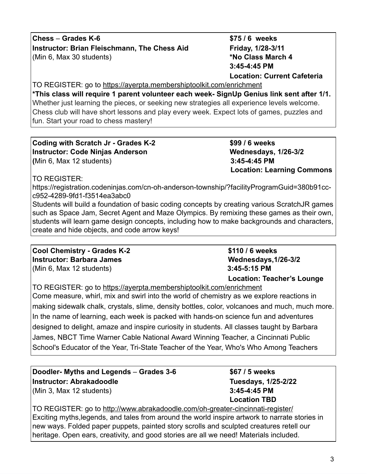**Chess** – **Grades K-6 \$75 / 6 weeks Instructor: Brian Fleischmann, The Chess Aid Friday, 1/28-3/11** (Min 6, Max 30 students) **\*No Class March 4**

**3:45-4:45 PM Location: Current Cafeteria**

TO REGISTER: go to https://ayerpta.membershiptoolkit.com/enrichment **\*This class will require 1 parent volunteer each week- SignUp Genius link sent after 1/1.** Whether just learning the pieces, or seeking new strategies all experience levels welcome. Chess club will have short lessons and play every week. Expect lots of games, puzzles and fun. Start your road to chess mastery!

**Coding with Scratch Jr - Grades K-2 \$99 / 6 weeks Instructor: Code Ninjas Anderson Wednesdays, 1/26-3/2 (**Min 6, Max 12 students) **3:45-4:45 PM**

 **Location: Learning Commons**

TO REGISTER:

https://registration.codeninjas.com/cn-oh-anderson-township/?facilityProgramGuid=380b91ccc952-4289-9fd1-f3514ea3abc0

Students will build a foundation of basic coding concepts by creating various ScratchJR games such as Space Jam, Secret Agent and Maze Olympics. By remixing these games as their own, students will learn game design concepts, including how to make backgrounds and characters, create and hide objects, and code arrow keys!

**Cool Chemistry - Grades K-2 \$110 / 6 weeks Instructor: Barbara James Wednesdays, 1/26-3/2** (Min 6, Max 12 students) **3:45-5:15 PM**

 **Location: Teacher's Lounge**

TO REGISTER: go to https://ayerpta.membershiptoolkit.com/enrichment Come measure, whirl, mix and swirl into the world of chemistry as we explore reactions in making sidewalk chalk, crystals, slime, density bottles, color, volcanoes and much, much more. In the name of learning, each week is packed with hands-on science fun and adventures designed to delight, amaze and inspire curiosity in students. All classes taught by Barbara James, NBCT Time Warner Cable National Award Winning Teacher, a Cincinnati Public School's Educator of the Year, Tri-State Teacher of the Year, Who's Who Among Teachers

**Doodler- Myths and Legends** – **Grades 3-6 \$67 / 5 weeks Instructor: Abrakadoodle Tuesdays, 1/25-2/22** (Min 3, Max 12 students) **3:45-4:45 PM**

**Location TBD**

TO REGISTER: go to http://www.abrakadoodle.com/oh-greater-cincinnati-register/ Exciting myths,legends, and tales from around the world inspire artwork to narrate stories in new ways. Folded paper puppets, painted story scrolls and sculpted creatures retell our heritage. Open ears, creativity, and good stories are all we need! Materials included.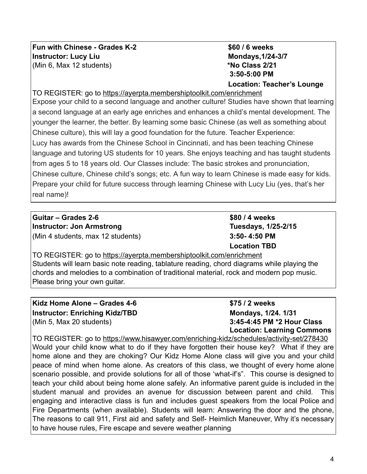**Fun with Chinese - Grades K-2 \$60 / 6 weeks Instructor:** Lucy Liu Mondays, 1/24-3/7 (Min 6, Max 12 students) **\*No Class 2/21**

# **3:50-5:00 PM Location: Teacher's Lounge**

TO REGISTER: go to https://ayerpta.membershiptoolkit.com/enrichment

Expose your child to a second language and another culture! Studies have shown that learning a second language at an early age enriches and enhances a child's mental development. The younger the learner, the better. By learning some basic Chinese (as well as something about Chinese culture), this will lay a good foundation for the future. Teacher Experience: Lucy has awards from the Chinese School in Cincinnati, and has been teaching Chinese language and tutoring US students for 10 years. She enjoys teaching and has taught students from ages 5 to 18 years old. Our Classes include: The basic strokes and pronunciation, Chinese culture, Chinese child's songs; etc. A fun way to learn Chinese is made easy for kids. Prepare your child for future success through learning Chinese with Lucy Liu (yes, that's her real name)!

**Guitar – Grades 2-6 \$80 / 4 weeks Instructor: Jon Armstrong <b>Tuesdays**, 1/25-2/15 (Min 4 students, max 12 students) **3:50- 4:50 PM**

**Location TBD**

TO REGISTER: go to https://ayerpta.membershiptoolkit.com/enrichment Students will learn basic note reading, tablature reading, chord diagrams while playing the chords and melodies to a combination of traditional material, rock and modern pop music. Please bring your own guitar.

**Kidz Home Alone – Grades 4-6 \$75 / 2 weeks Instructor: Enriching Kidz/TBD Mondays, 1/24. 1/31** (Min 5, Max 20 students) **3:45-4:45 PM \*2 Hour Class**

**Location: Learning Commons**

TO REGISTER: go to https://www.hisawyer.com/enriching-kidz/schedules/activity-set/278430 Would your child know what to do if they have forgotten their house key? What if they are home alone and they are choking? Our Kidz Home Alone class will give you and your child peace of mind when home alone. As creators of this class, we thought of every home alone scenario possible, and provide solutions for all of those 'what-if's". This course is designed to teach your child about being home alone safely. An informative parent guide is included in the student manual and provides an avenue for discussion between parent and child. This engaging and interactive class is fun and includes guest speakers from the local Police and Fire Departments (when available). Students will learn: Answering the door and the phone, The reasons to call 911, First aid and safety and Self- Heimlich Maneuver, Why it's necessary to have house rules, Fire escape and severe weather planning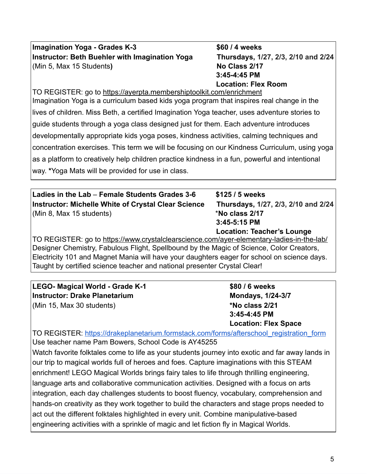### **Imagination Yoga - Grades K-3 \$60 / 4 weeks Instructor: Beth Buehler with Imagination Yoga Thursdays, 1/27, 2/3, 2/10 and 2/24** (Min 5, Max 15 Students**) No Class 2/17**

 **3:45-4:45 PM Location: Flex Room**

TO REGISTER: go to https://ayerpta.membershiptoolkit.com/enrichment Imagination Yoga is a curriculum based kids yoga program that inspires real change in the lives of children. Miss Beth, a certified Imagination Yoga teacher, uses adventure stories to guide students through a yoga class designed just for them. Each adventure introduces developmentally appropriate kids yoga poses, kindness activities, calming techniques and concentration exercises. This term we will be focusing on our Kindness Curriculum, using yoga as a platform to creatively help children practice kindness in a fun, powerful and intentional way. **\***Yoga Mats will be provided for use in class.

| Ladies in the Lab – Female Students Grades 3-6      | \$125 / 5 weeks                     |
|-----------------------------------------------------|-------------------------------------|
| Instructor: Michelle White of Crystal Clear Science | Thursdays, 1/27, 2/3, 2/10 and 2/24 |
| (Min 8, Max 15 students)                            | *No class 2/17                      |
|                                                     | $3:45-5:15$ PM                      |

 **Location: Teacher's Lounge**

TO REGISTER: go to https://www.crystalclearscience.com/ayer-elementary-ladies-in-the-lab/ Designer Chemistry, Fabulous Flight, Spellbound by the Magic of Science, Color Creators, Electricity 101 and Magnet Mania will have your daughters eager for school on science days. Taught by certified science teacher and national presenter Crystal Clear!

| LEGO- Magical World - Grade K-1 | \$80 / 6 weeks              |
|---------------------------------|-----------------------------|
| Instructor: Drake Planetarium   | <b>Mondays, 1/24-3/7</b>    |
| (Min 15, Max 30 students)       | *No class 2/21              |
|                                 | 3:45-4:45 PM                |
|                                 | <b>Location: Flex Space</b> |

TO REGISTER: https://drakeplanetarium.formstack.com/forms/afterschool\_registration\_form Use teacher name Pam Bowers, School Code is AY45255 Watch favorite folktales come to life as your students journey into exotic and far away lands in our trip to magical worlds full of heroes and foes. Capture imaginations with this STEAM enrichment! LEGO Magical Worlds brings fairy tales to life through thrilling engineering, language arts and collaborative communication activities. Designed with a focus on arts integration, each day challenges students to boost fluency, vocabulary, comprehension and hands-on creativity as they work together to build the characters and stage props needed to act out the different folktales highlighted in every unit. Combine manipulative-based engineering activities with a sprinkle of magic and let fiction fly in Magical Worlds.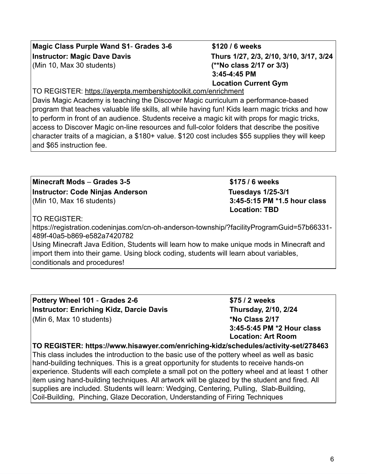#### **Magic Class Purple Wand S1**- **Grades 3-6 \$120 / 6 weeks Instructor: Magic Dave Davis Thurs 1/27, 2/3, 2/10, 3/10, 3/17, 3/24** (Min 10, Max 30 students) **(\*\*No class 2/17 or 3/3)**

#### TO REGISTER: https://ayerpta.membershiptoolkit.com/enrichment

Davis Magic Academy is teaching the Discover Magic curriculum a performance-based program that teaches valuable life skills, all while having fun! Kids learn magic tricks and how to perform in front of an audience. Students receive a magic kit with props for magic tricks, access to Discover Magic on-line resources and full-color folders that describe the positive character traits of a magician, a \$180+ value. \$120 cost includes \$55 supplies they will keep and \$65 instruction fee.

#### **Minecraft Mods** – **Grades 3-5 \$175 / 6 weeks Instructor: Code Ninjas Anderson Tuesdays 1/25-3/1** (Min 10, Max 16 students) **3:45-5:15 PM \*1.5 hour class**

#### TO REGISTER:

https://registration.codeninjas.com/cn-oh-anderson-township/?facilityProgramGuid=57b66331- 489f-40a5-b869-e582a7420782

Using Minecraft Java Edition, Students will learn how to make unique mods in Minecraft and import them into their game. Using block coding, students will learn about variables, conditionals and procedures!

**Pottery Wheel 101** - **Grades 2-6 \$75 / 2 weeks Instructor: Enriching Kidz, Darcie Davis Thursday, 2/10, 2/24** (Min 6, Max 10 students) **\*No Class 2/17**

**3:45-5:45 PM \*2 Hour class Location: Art Room**

#### **TO REGISTER: https://www.hisawyer.com/enriching-kidz/schedules/activity-set/278463** This class includes the introduction to the basic use of the pottery wheel as well as basic

hand-building techniques. This is a great opportunity for students to receive hands-on experience. Students will each complete a small pot on the pottery wheel and at least 1 other item using hand-building techniques. All artwork will be glazed by the student and fired. All supplies are included. Students will learn: Wedging, Centering, Pulling, Slab-Building, Coil-Building, Pinching, Glaze Decoration, Understanding of Firing Techniques

**Location: TBD**

**3:45-4:45 PM**

 **Location Current Gym**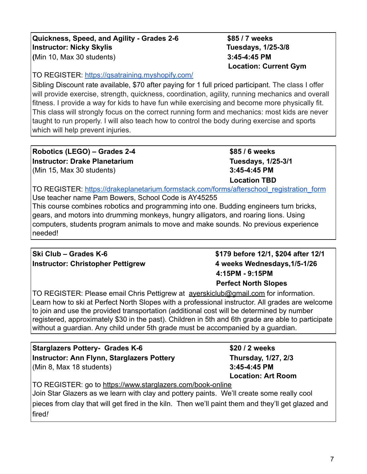7

#### **Quickness, Speed, and Agility - Grades 2-6 \$85 / 7 weeks Instructor: Nicky Skylis Tuesdays, 1/25-3/8 (**Min 10, Max 30 students) **3:45-4:45 PM**

TO REGISTER: https://qsatraining.myshopify.com/

Sibling Discount rate available, \$70 after paying for 1 full priced participant. The class I offer will provide exercise, strength, quickness, coordination, agility, running mechanics and overall fitness. I provide a way for kids to have fun while exercising and become more physically fit. This class will strongly focus on the correct running form and mechanics: most kids are never taught to run properly. I will also teach how to control the body during exercise and sports which will help prevent injuries.

**Robotics (LEGO) – Grades 2-4 \$85 / 6 weeks Instructor: Drake Planetarium Tuesdays, 1/25-3/1** (Min 15, Max 30 students) **3:45-4:45 PM**

**Location TBD**

 **Location: Current Gym**

TO REGISTER: https://drakeplanetarium.formstack.com/forms/afterschool\_registration\_form Use teacher name Pam Bowers, School Code is AY45255

This course combines robotics and programming into one. Budding engineers turn bricks, gears, and motors into drumming monkeys, hungry alligators, and roaring lions. Using computers, students program animals to move and make sounds. No previous experience needed!

#### **Ski Club – Grades K-6 \$179 before 12/1, \$204 after 12/1 Instructor: Christopher Pettigrew 4 weeks Wednesdays,1/5-1/26**

 **4:15PM - 9:15PM**

TO REGISTER: Please email Chris Pettigrew at ayerskiclub@gmail.com for information. Learn how to ski at Perfect North Slopes with a professional instructor. All grades are welcome to join and use the provided transportation (additional cost will be determined by number registered, approximately \$30 in the past). Children in 5th and 6th grade are able to participate without a guardian. Any child under 5th grade must be accompanied by a guardian.

**Starglazers Pottery- Grades K-6 \$20 / 2 weeks Instructor: Ann Flynn, Starglazers Pottery Thursday, 1/27, 2/3** (Min 8, Max 18 students) **3:45-4:45 PM**

TO REGISTER: go to https://www.starglazers.com/book-online Join Star Glazers as we learn with clay and pottery paints. We'll create some really cool pieces from clay that will get fired in the kiln. Then we'll paint them and they'll get glazed and fired*!*

**Location: Art Room**

## **Perfect North Slopes**